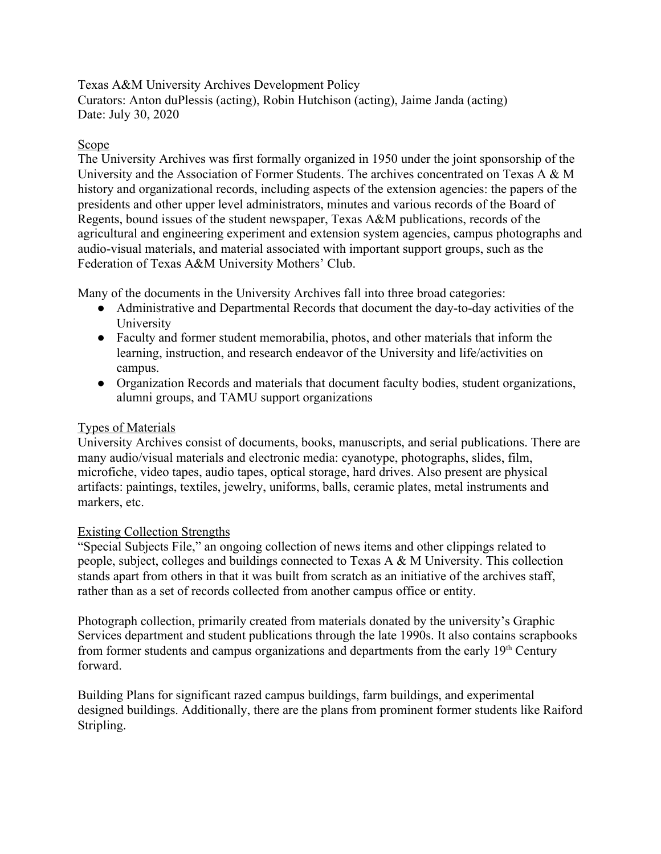Texas A&M University Archives Development Policy Curators: Anton duPlessis (acting), Robin Hutchison (acting), Jaime Janda (acting) Date: July 30, 2020

## Scope

The University Archives was first formally organized in 1950 under the joint sponsorship of the University and the Association of Former Students. The archives concentrated on Texas A & M history and organizational records, including aspects of the extension agencies: the papers of the presidents and other upper level administrators, minutes and various records of the Board of Regents, bound issues of the student newspaper, Texas A&M publications, records of the agricultural and engineering experiment and extension system agencies, campus photographs and audio-visual materials, and material associated with important support groups, such as the Federation of Texas A&M University Mothers' Club.

Many of the documents in the University Archives fall into three broad categories:

- Administrative and Departmental Records that document the day-to-day activities of the University
- Faculty and former student memorabilia, photos, and other materials that inform the learning, instruction, and research endeavor of the University and life/activities on campus.
- Organization Records and materials that document faculty bodies, student organizations, alumni groups, and TAMU support organizations

## Types of Materials

University Archives consist of documents, books, manuscripts, and serial publications. There are many audio/visual materials and electronic media: cyanotype, photographs, slides, film, microfiche, video tapes, audio tapes, optical storage, hard drives. Also present are physical artifacts: paintings, textiles, jewelry, uniforms, balls, ceramic plates, metal instruments and markers, etc.

## Existing Collection Strengths

"Special Subjects File," an ongoing collection of news items and other clippings related to people, subject, colleges and buildings connected to Texas A & M University. This collection stands apart from others in that it was built from scratch as an initiative of the archives staff, rather than as a set of records collected from another campus office or entity.

Photograph collection, primarily created from materials donated by the university's Graphic Services department and student publications through the late 1990s. It also contains scrapbooks from former students and campus organizations and departments from the early  $19<sup>th</sup>$  Century forward.

Building Plans for significant razed campus buildings, farm buildings, and experimental designed buildings. Additionally, there are the plans from prominent former students like Raiford Stripling.